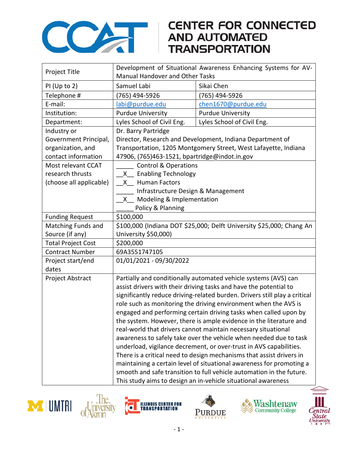

## **CENTER FOR CONNECTED**

| Project Title             | Development of Situational Awareness Enhancing Systems for AV-             |                            |  |
|---------------------------|----------------------------------------------------------------------------|----------------------------|--|
|                           | Manual Handover and Other Tasks                                            |                            |  |
| $PI$ (Up to 2)            | Samuel Labi                                                                | Sikai Chen                 |  |
| Telephone #               | (765) 494-5926                                                             | (765) 494-5926             |  |
| E-mail:                   | labi@purdue.edu                                                            | chen1670@purdue.edu        |  |
| Institution:              | <b>Purdue University</b>                                                   | <b>Purdue University</b>   |  |
| Department:               | Lyles School of Civil Eng.                                                 | Lyles School of Civil Eng. |  |
| Industry or               | Dr. Barry Partridge                                                        |                            |  |
| Government Principal,     | Director, Research and Development, Indiana Department of                  |                            |  |
| organization, and         | Transportation, 1205 Montgomery Street, West Lafayette, Indiana            |                            |  |
| contact information       | 47906, (765)463-1521, bpartridge@indot.in.gov                              |                            |  |
| Most relevant CCAT        | <b>Control &amp; Operations</b>                                            |                            |  |
| research thrusts          | <b>Enabling Technology</b><br>X —                                          |                            |  |
| (choose all applicable)   | <b>Human Factors</b><br>$X_{-}$                                            |                            |  |
|                           | Infrastructure Design & Management                                         |                            |  |
|                           | Modeling & Implementation<br>$\mathsf{X}^-$                                |                            |  |
|                           | Policy & Planning                                                          |                            |  |
| <b>Funding Request</b>    | \$100,000                                                                  |                            |  |
| Matching Funds and        | \$100,000 (Indiana DOT \$25,000; Delft University \$25,000; Chang An       |                            |  |
| Source (if any)           | University \$50,000)                                                       |                            |  |
| <b>Total Project Cost</b> | \$200,000                                                                  |                            |  |
| <b>Contract Number</b>    | 69A3551747105                                                              |                            |  |
| Project start/end         | 01/01/2021 - 09/30/2022                                                    |                            |  |
| dates                     |                                                                            |                            |  |
| Project Abstract          | Partially and conditionally automated vehicle systems (AVS) can            |                            |  |
|                           | assist drivers with their driving tasks and have the potential to          |                            |  |
|                           | significantly reduce driving-related burden. Drivers still play a critical |                            |  |
|                           | role such as monitoring the driving environment when the AVS is            |                            |  |
|                           | engaged and performing certain driving tasks when called upon by           |                            |  |
|                           | the system. However, there is ample evidence in the literature and         |                            |  |
|                           | real-world that drivers cannot maintain necessary situational              |                            |  |
|                           | awareness to safely take over the vehicle when needed due to task          |                            |  |
|                           | underload, vigilance decrement, or over-trust in AVS capabilities.         |                            |  |
|                           | There is a critical need to design mechanisms that assist drivers in       |                            |  |
|                           | maintaining a certain level of situational awareness for promoting a       |                            |  |
|                           | smooth and safe transition to full vehicle automation in the future.       |                            |  |
|                           | This study aims to design an in-vehicle situational awareness              |                            |  |